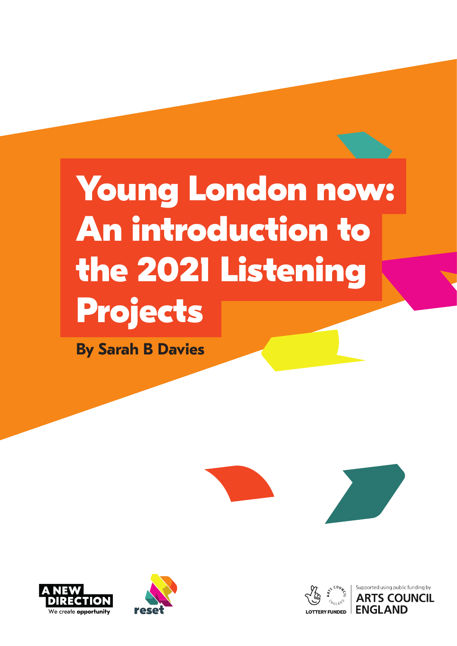# We hope you are able to include these activities in your timetables in what will be a unusual will be a unusual will be a unusual will be a unusual will be a unusual will be a unu<br>Distribution will be a unusual will be a unusual will be a unusual will be a unusual will be a unusual will be challenging transition back to the U.S. of the U.S. of the U.S. of the U.S. of the U.S. of the U.S. of the U.S<br>Challenging to the U.S. of the U.S. of the U.S. of the U.S. of the U.S. of the U.S. of the U.S. of the U.S. of<br>  $$ Young L<br>An intro<br>the 202 Voung L<br>An intro<br>the 2021 alook foung Look<br>An introd<br>he 2021 n intr<br>|e 20;<br>'oiect **202**<br>ject: ntrodu<br>2021 L<br>ects **Young London now: An introduction to the 2021 Listening Projects**

Ęţţ ta de la Barca de la Barca de la Barca de la Barca de la Barca de la Barca de la Barca de la Barca de la Barca<br>1970 : la Barca de la Barca de la Barca de la Barca de la Barca de la Barca de la Barca de la Barca de la Bar<br>1 **By Sarah B Davies**







this pandemic: relationships,

around recovery in this coming

and creative research, storytelling

and design can support them in

developing their own opinions and

world around them.

voices to understand the changing

In April 2020, Barry Carpenter,

Professor of Mental Health in





Supported using public funding by **ARTS COUNCIL**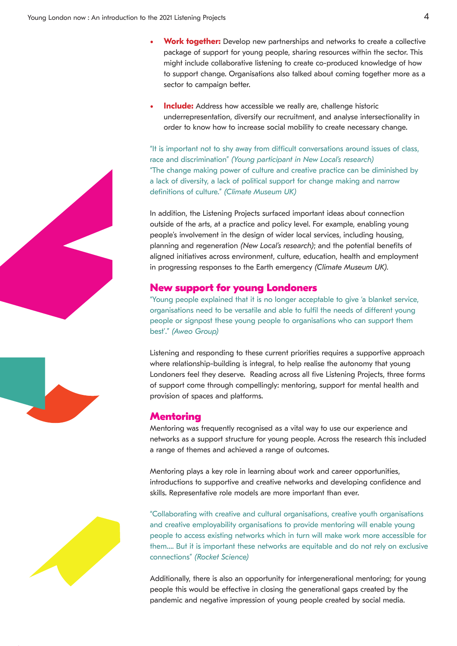- **Work together:** Develop new partnerships and networks to create a collective package of support for young people, sharing resources within the sector. This might include collaborative listening to create co-produced knowledge of how to support change. Organisations also talked about coming together more as a sector to campaign better.
- **Include:** Address how accessible we really are, challenge historic underrepresentation, diversify our recruitment, and analyse intersectionality in order to know how to increase social mobility to create necessary change.

"It is important not to shy away from difficult conversations around issues of class, race and discrimination" *(Young participant in New Local's research)* "The change making power of culture and creative practice can be diminished by a lack of diversity, a lack of political support for change making and narrow definitions of culture." *(Climate Museum UK)*

In addition, the Listening Projects surfaced important ideas about connection outside of the arts, at a practice and policy level. For example, enabling young people's involvement in the design of wider local services, including housing, planning and regeneration *(New Local's research)*; and the potential benefits of aligned initiatives across environment, culture, education, health and employment in progressing responses to the Earth emergency *(Climate Museum UK).* ening<br>at a p<br>at in t<br>aretaic<br>cross<br>onses<br>**for**<br>and to be<br>these<br>b)<br>anding<br>building<br>and p<br>and p<br>and p<br>and p<br>and p<br>and p<br>and p<br>and p<br>and p<br>and p<br>and p<br>and p<br>and p<br>and p<br>and p<br>and p<br>and p<br>and p<br>and p<br>and p<br>and p<br>and p<br>and p<br>an Projectics<br>
actics<br>
e de:<br>
(*Ne* mviro<br>
(*Ne* mviro<br>
that i versa<br>
young<br>
to the g is in<br>
to the g is in<br>
to the g is in<br>
to the g is in<br>
to the g is in ts sur<br>et and<br>ign o Loc<br>mennes Earth<br>Earth<br>Earth<br>is no green<br>see cutegra<br>direct<br>eadir<br>ms.<br>spised for y aced<br>oolicy<br>wide<br>*I's re*<br>cultume<br>americans<br>onder<br>ander<br>able to<br>rent<br>rent<br>, to **h**<br>g acry: me mpo<br>level<br>loca<br>earch<br>earch in Accords<br>the Mental Health in Accords<br>songstand in Accords<br>the Mental Health in Accords<br>the Mental Health in Accords The Form of Servi<br>In Servian (Clinum); and<br>Indian (Clinum)<br>In Applementer, and in the Servian Servian Conter, and in the Servian Conter<br>In Servian Servian Servian Servian Servian Servian Servian Servian Servian Servian Ser as ab<br>mple<br>i, inc<br>e pc<br>heal<br>e Mu<br>o giv around recovery in this community in this community is a set of the set of the set of the set of the set of the set of the set of the set of the set of the set of the set of the set of the set of the set of the set of the and yousine<br>and yousine<br>bene empl<br>JK).<br>Internal youther their teaching the search<br>their their teaching the teaching the search of the search of the search<br>ence on<br>sung,<br>iits of<br>servic<br>servic<br>service<br>them<br>approoung<br>ree foolth and on, the<br>sinvo<br>a and initiat<br>essing<br>**supp**<br>oscoperations<br>are single and alation<br>are formulations for continuous<br>of the single and alations for continuous for the continuous formula<br>and single and single and single and singl the List<br>Tarts, veme<br>The reger<br>Signes and propositionships, resp<br>The responships, responships, responships, responsionships, responsions, responsions, responsions, responsions, responsions, responsions, responsions, respon

# **New support for young Londoners**

"Young people explained that it is no longer acceptable to give 'a blanket service, organisations need to be versatile and able to fulfil the needs of different young people or signpost these young people to organisations who can support them best'." *(Aweo Group)*

Listening and responding to these current priorities requires a supportive approach where relationship-building is integral, to help realise the autonomy that young Londoners feel they deserve. Reading across all five Listening Projects, three forms of support come through compellingly: mentoring, support for mental health and provision of spaces and platforms. the following resources to the following results of the following results of the following resources to the following resources to the following results of the following results of the following resources to the following

#### **Mentoring**

Mentoring was frequently recognised as a vital way to use our experience and networks as a support structure for young people. Across the research this included a range of themes and achieved a range of outcomes.

Mentoring plays a key role in learning about work and career opportunities, introductions to supportive and creative networks and developing confidence and skills. Representative role models are more important than ever.

"Collaborating with creative and cultural organisations, creative youth organisations and creative employability organisations to provide mentoring will enable young people to access existing networks which in turn will make work more accessible for them…. But it is important these networks are equitable and do not rely on exclusive connections" *(Rocket Science)* key r<br>ppor<br>e rol<br>pyabi<br>xistin<br>porta<br>ef Sc<br>is als<br>be et<br>ative **F**<br>**IPS**<br>**IPS**<br>**IPS**<br>**IPS**<br>**IPS**<br>**IPS**<br>**IPS**<br>**IPS**<br>**IPS**<br>**IPS**<br>**IPS** rning<br>creati<br>are<br>cultu<br>isatic<br>ks whetw<br>ortur<br>clos abou<br>internation for and we look for all origins to form the same formation of the same of the weak<br>if the wealth of the composite for the same for the same for the same<br>international same for the same for the same for the learning throughout the year as educators in champions in the controller or controller than the controller controller creation and controller creation and the creation of the creation of the creation of the creation of the creation of the creation of the reer<br>President will continue to support<br>or the support of support of the support<br>of the support of the support of the support of the support of the support<br>of the support of the support of the support of the support of the sphool ing<br>school this Autumn term.<br>will the Muslim term. A New York<br>with the Autumn term of the Muslim term. A New York School of the Muslim term of the Muslim term of the Muslim<br>and the Muslim term of the Muslim term. A rtuniti<br>onfid<br>h org<br>nable<br>re acc<br>rely c<br>oring<br>ited b s,<br>nisat<br>youn<br>sssibl<br>an exc<br>for yether<br>the dia. these actions<br>these activities in the set of the set of the set of the set of the set of the set of the set of the set of the set of the set of the set of the set of the set of the set of the set of the set of the set of t

Additionally, there is also an opportunity for intergenerational mentoring; for young people this would be effective in closing the generational gaps created by the pandemic and negative impression of young people created by social media.



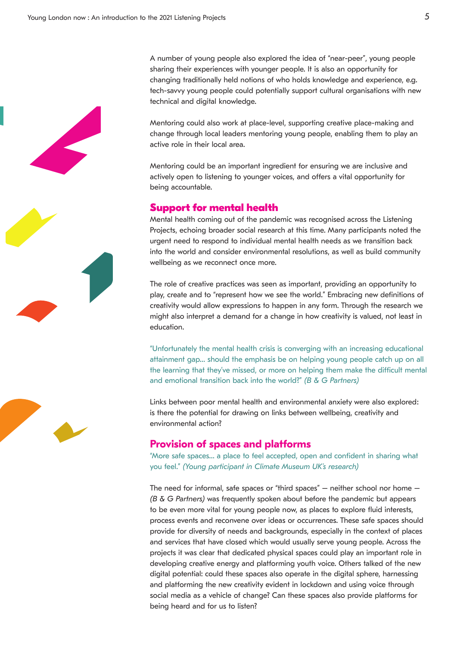A number of young people also explored the idea of "near-peer", young people sharing their experiences with younger people. It is also an opportunity for changing traditionally held notions of who holds knowledge and experience, e.g. tech-savvy young people could potentially support cultural organisations with new technical and digital knowledge.

Mentoring could also work at place-level, supporting creative place-making and change through local leaders mentoring young people, enabling them to play an active role in their local area.

Mentoring could be an important ingredient for ensuring we are inclusive and actively open to listening to younger voices, and offers a vital opportunity for being accountable.

# **Support for mental health**

Mental health coming out of the pandemic was recognised across the Listening Projects, echoing broader social research at this time. Many participants noted the urgent need to respond to individual mental health needs as we transition back into the world and consider environmental resolutions, as well as build community wellbeing as we reconnect once more.

The role of creative practices was seen as important, providing an opportunity to play, create and to "represent how we see the world." Embracing new definitions of creativity would allow expressions to happen in any form. Through the research we might also interpret a demand for a change in how creativity is valued, not least in education.

"Unfortunately the mental health crisis is converging with an increasing educational attainment gap… should the emphasis be on helping young people catch up on all the learning that they've missed, or more on helping them make the difficult mental and emotional transition back into the world?" *(B & G Partners)*

Links between poor mental health and environmental anxiety were also explored: is there the potential for drawing on links between wellbeing, creativity and environmental action?

#### **Provision of spaces and platforms**

"More safe spaces… a place to feel accepted, open and confident in sharing what you feel." *(Young participant in Climate Museum UK's research)*

The need for informal, safe spaces or "third spaces" – neither school nor home – *(B & G Partners)* was frequently spoken about before the pandemic but appears to be even more vital for young people now, as places to explore fluid interests, process events and reconvene over ideas or occurrences. These safe spaces should provide for diversity of needs and backgrounds, especially in the context of places and services that have closed which would usually serve young people. Across the projects it was clear that dedicated physical spaces could play an important role in developing creative energy and platforming youth voice. Others talked of the new digital potential: could these spaces also operate in the digital sphere, harnessing and platforming the new creativity evident in lockdown and using voice through social media as a vehicle of change? Can these spaces also provide platforms for being heard and for us to listen?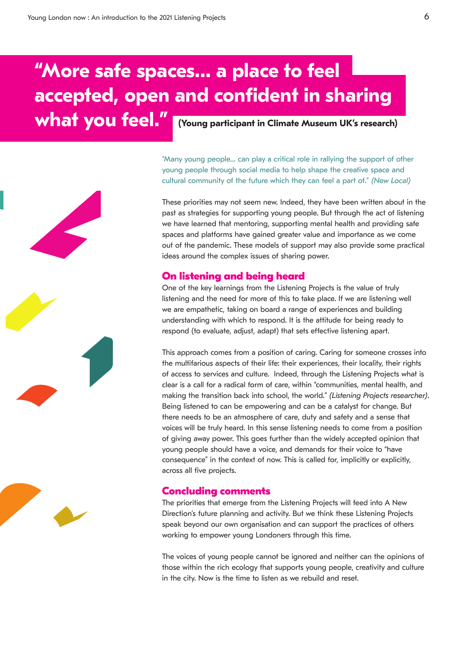# **"More safe spaces… a place to feel accepted, open and confident in sharing what you feel." (Young participant in Climate Museum UK's research)**

"Many young people… can play a critical role in rallying the support of other young people through social media to help shape the creative space and cultural community of the future which they can feel a part of." *(New Local)*

These priorities may not seem new. Indeed, they have been written about in the past as strategies for supporting young people. But through the act of listening we have learned that mentoring, supporting mental health and providing safe spaces and platforms have gained greater value and importance as we come out of the pandemic. These models of support may also provide some practical ideas around the complex issues of sharing power.

# **On listening and being heard**

One of the key learnings from the Listening Projects is the value of truly listening and the need for more of this to take place. If we are listening well we are empathetic, taking on board a range of experiences and building understanding with which to respond. It is the attitude for being ready to respond (to evaluate, adjust, adapt) that sets effective listening apart.

This approach comes from a position of caring. Caring for someone crosses into the multifarious aspects of their life: their experiences, their locality, their rights of access to services and culture. Indeed, through the Listening Projects what is clear is a call for a radical form of care, within "communities, mental health, and making the transition back into school, the world." *(Listening Projects researcher)*. Being listened to can be empowering and can be a catalyst for change. But there needs to be an atmosphere of care, duty and safety and a sense that voices will be truly heard. In this sense listening needs to come from a position of giving away power. This goes further than the widely accepted opinion that young people should have a voice, and demands for their voice to "have consequence" in the context of now. This is called for, implicitly or explicitly, across all five projects.

# **Concluding comments**

The priorities that emerge from the Listening Projects will feed into A New Direction's future planning and activity. But we think these Listening Projects speak beyond our own organisation and can support the practices of others working to empower young Londoners through this time.

The voices of young people cannot be ignored and neither can the opinions of those within the rich ecology that supports young people, creativity and culture in the city. Now is the time to listen as we rebuild and reset.